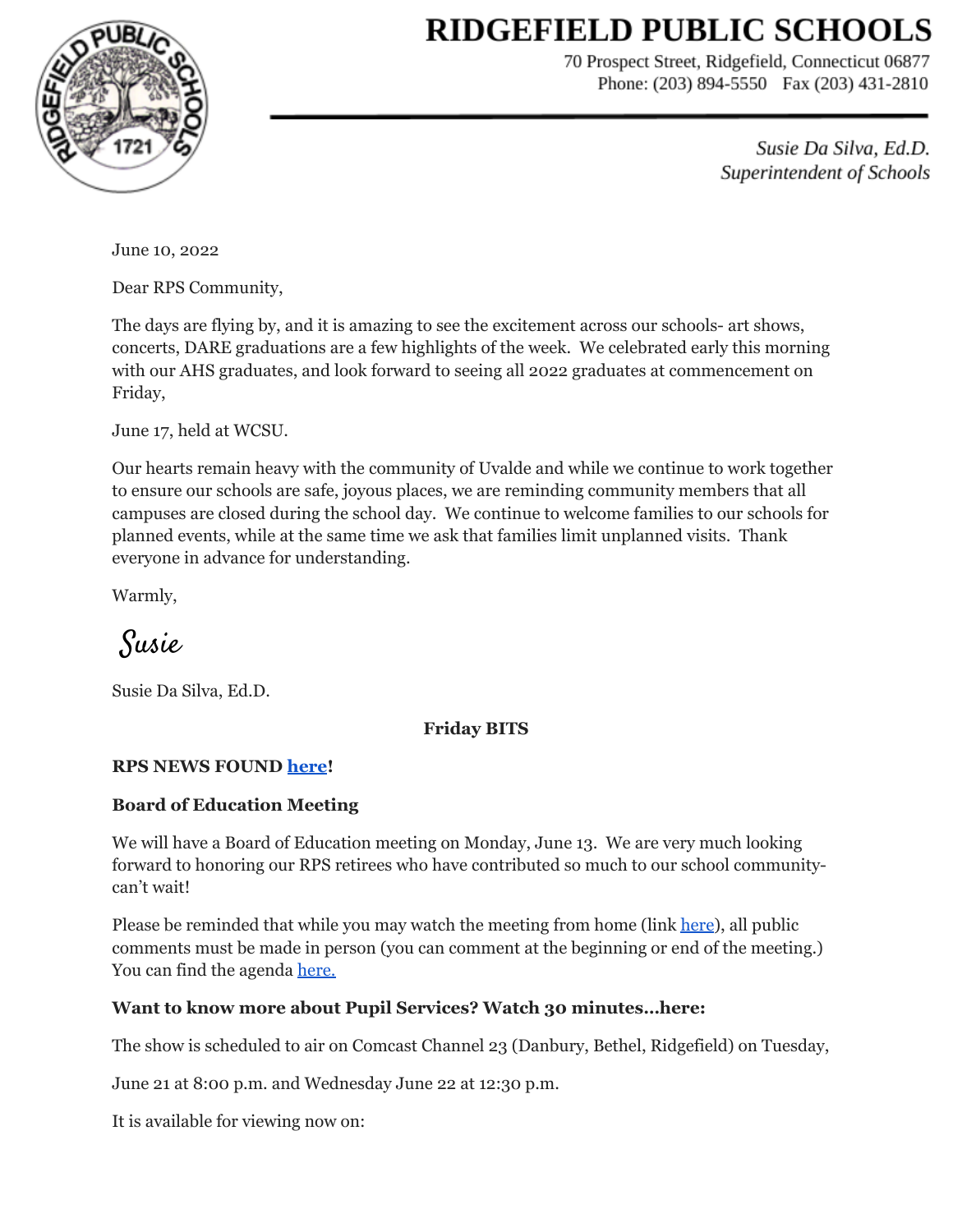# **RIDGEFIELD PUBLIC SCHOOLS**



70 Prospect Street, Ridgefield, Connecticut 06877 Phone: (203) 894-5550 Fax (203) 431-2810

> Susie Da Silva, Ed.D. Superintendent of Schools

June 10, 2022

Dear RPS Community,

The days are flying by, and it is amazing to see the excitement across our schools- art shows, concerts, DARE graduations are a few highlights of the week. We celebrated early this morning with our AHS graduates, and look forward to seeing all 2022 graduates at commencement on Friday,

June 17, held at WCSU.

Our hearts remain heavy with the community of Uvalde and while we continue to work together to ensure our schools are safe, joyous places, we are reminding community members that all campuses are closed during the school day. We continue to welcome families to our schools for planned events, while at the same time we ask that families limit unplanned visits. Thank everyone in advance for understanding.

Warmly,

Susie

Susie Da Silva, Ed.D.

#### **Friday BITS**

#### **RPS NEWS FOUND [here](https://drive.google.com/file/d/1_4xiVHFNEwDDNlXx148FZq_lu94HlNwz/view?usp=sharing)!**

#### **Board of Education Meeting**

We will have a Board of Education meeting on Monday, June 13. We are very much looking forward to honoring our RPS retirees who have contributed so much to our school communitycan't wait!

Please be reminded that while you may watch the meeting from home (link [here](https://www.youtube.com/channel/UCFK7CGQjWPQQQ05N2_2zROA)), all public comments must be made in person (you can comment at the beginning or end of the meeting.) You can find the agenda [here.](https://drive.google.com/file/d/1Z8Kh_cGV4yojdPIYubeYLZJpHKudSHi3/view?usp=sharing)

#### **Want to know more about Pupil Services? Watch 30 minutes…here:**

The show is scheduled to air on Comcast Channel 23 (Danbury, Bethel, Ridgefield) on Tuesday,

June 21 at 8:00 p.m. and Wednesday June 22 at 12:30 p.m.

It is available for viewing now on: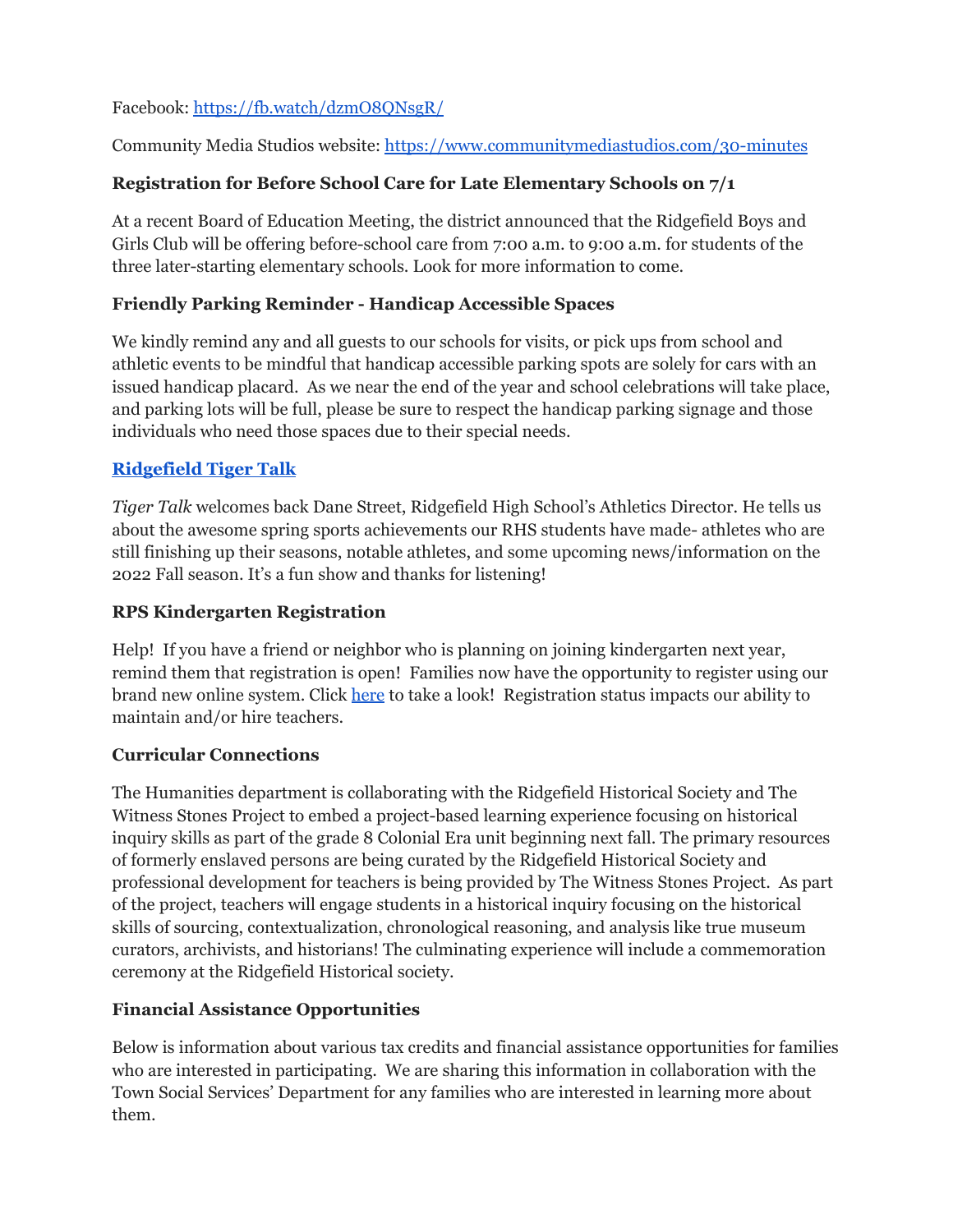## Facebook: <https://fb.watch/dzmO8QNsgR/>

Community Media Studios website: <https://www.communitymediastudios.com/30-minutes>

# **Registration for Before School Care for Late Elementary Schools on 7/1**

At a recent Board of Education Meeting, the district announced that the Ridgefield Boys and Girls Club will be offering before-school care from 7:00 a.m. to 9:00 a.m. for students of the three later-starting elementary schools. Look for more information to come.

#### **Friendly Parking Reminder - Handicap Accessible Spaces**

We kindly remind any and all guests to our schools for visits, or pick ups from school and athletic events to be mindful that handicap accessible parking spots are solely for cars with an issued handicap placard. As we near the end of the year and school celebrations will take place, and parking lots will be full, please be sure to respect the handicap parking signage and those individuals who need those spaces due to their special needs.

## **[Ridgefield](https://sites.google.com/ridgefieldps.net/tigertalk/home) Tiger Talk**

*Tiger Talk* welcomes back Dane Street, Ridgefield High School's Athletics Director. He tells us about the awesome spring sports achievements our RHS students have made- athletes who are still finishing up their seasons, notable athletes, and some upcoming news/information on the 2022 Fall season. It's a fun show and thanks for listening!

## **RPS Kindergarten Registration**

Help! If you have a friend or neighbor who is planning on joining kindergarten next year, remind them that registration is open! Families now have the opportunity to register using our brand new online system. Click [here](https://www.ridgefield.org/Registration_and_Immunizations) to take a look! Registration status impacts our ability to maintain and/or hire teachers.

## **Curricular Connections**

The Humanities department is collaborating with the Ridgefield Historical Society and The Witness Stones Project to embed a project-based learning experience focusing on historical inquiry skills as part of the grade 8 Colonial Era unit beginning next fall. The primary resources of formerly enslaved persons are being curated by the Ridgefield Historical Society and professional development for teachers is being provided by The Witness Stones Project. As part of the project, teachers will engage students in a historical inquiry focusing on the historical skills of sourcing, contextualization, chronological reasoning, and analysis like true museum curators, archivists, and historians! The culminating experience will include a commemoration ceremony at the Ridgefield Historical society.

## **Financial Assistance Opportunities**

Below is information about various tax credits and financial assistance opportunities for families who are interested in participating. We are sharing this information in collaboration with the Town Social Services' Department for any families who are interested in learning more about them.